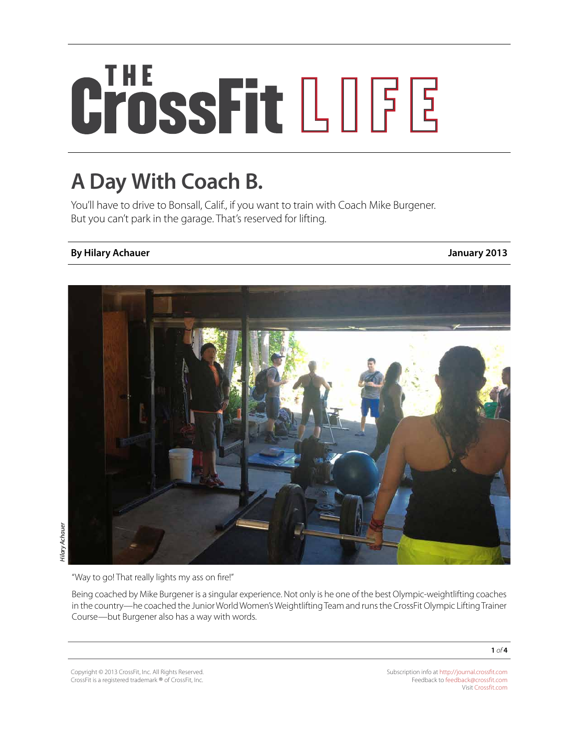# CrossFit LOGE

## **A Day With Coach B.**

You'll have to drive to Bonsall, Calif., if you want to train with Coach Mike Burgener. But you can't park in the garage. That's reserved for lifting.

### **By Hilary Achauer January 2013**



"Way to go! That really lights my ass on fire!"

Being coached by Mike Burgener is a singular experience. Not only is he one of the best Olympic-weightlifting coaches in the country—he coached the Junior World Women's Weightlifting Team and runs the CrossFit Olympic Lifting Trainer Course—but Burgener also has a way with words.

Copyright © 2013 CrossFit, Inc. All Rights Reserved. CrossFit is a registered trademark ® of CrossFit, Inc.

Subscription info at <http://journal.crossfit.com> Feedback to [feedback@crossfit.com](mailto:feedback@crossfit.com) Visit [Crossfit.com](http://crossfit.com/)

**1** *of* **4**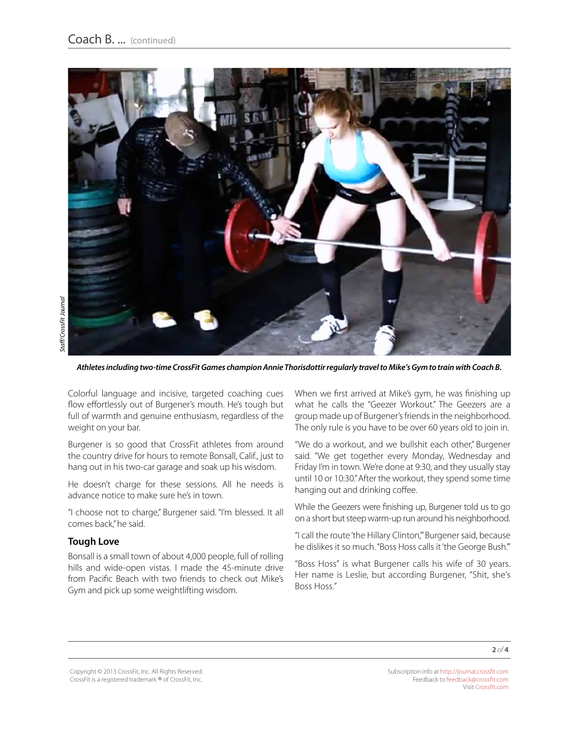

*Athletes including two-time CrossFit Games champion Annie Thorisdottir regularly travel to Mike's Gym to train with Coach B.*

Colorful language and incisive, targeted coaching cues flow effortlessly out of Burgener's mouth. He's tough but full of warmth and genuine enthusiasm, regardless of the weight on your bar.

Burgener is so good that CrossFit athletes from around the country drive for hours to remote Bonsall, Calif., just to hang out in his two-car garage and soak up his wisdom.

He doesn't charge for these sessions. All he needs is advance notice to make sure he's in town.

"I choose not to charge," Burgener said. "I'm blessed. It all comes back," he said.

#### **Tough Love**

Bonsall is a small town of about 4,000 people, full of rolling hills and wide-open vistas. I made the 45-minute drive from Pacific Beach with two friends to check out Mike's Gym and pick up some weightlifting wisdom.

When we first arrived at Mike's gym, he was finishing up what he calls the "Geezer Workout." The Geezers are a group made up of Burgener's friends in the neighborhood. The only rule is you have to be over 60 years old to join in.

"We do a workout, and we bullshit each other," Burgener said. "We get together every Monday, Wednesday and Friday I'm in town. We're done at 9:30, and they usually stay until 10 or 10:30." After the workout, they spend some time hanging out and drinking coffee.

While the Geezers were finishing up, Burgener told us to go on a short but steep warm-up run around his neighborhood.

"I call the route 'the Hillary Clinton,'" Burgener said, because he dislikes it so much. "Boss Hoss calls it 'the George Bush.'"

"Boss Hoss" is what Burgener calls his wife of 30 years. Her name is Leslie, but according Burgener, "Shit, she's Boss Hoss."

Copyright © 2013 CrossFit, Inc. All Rights Reserved. CrossFit is a registered trademark ® of CrossFit, Inc. Subscription info at <http://journal.crossfit.com> Feedback to [feedback@crossfit.com](mailto:feedback@crossfit.com) Visit [Crossfit.com](http://crossfit.com/)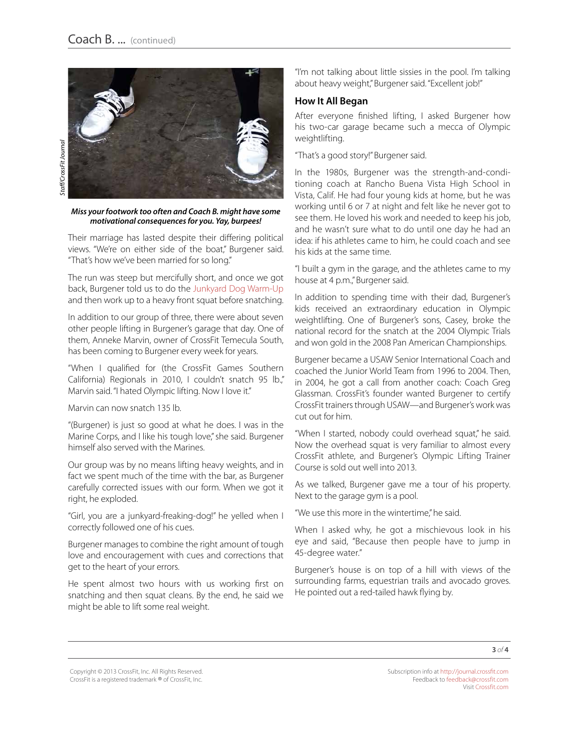*Miss your footwork too often and Coach B. might have some motivational consequences for you. Yay, burpees!*

Their marriage has lasted despite their differing political views. "We're on either side of the boat," Burgener said. "That's how we've been married for so long."

The run was steep but mercifully short, and once we got back, Burgener told us to do the [Junkyard Dog Warm-Up](http://journal.crossfit.com/2012/06/olycourse-3drills.tpl) and then work up to a heavy front squat before snatching.

In addition to our group of three, there were about seven other people lifting in Burgener's garage that day. One of them, Anneke Marvin, owner of CrossFit Temecula South, has been coming to Burgener every week for years.

"When I qualified for (the CrossFit Games Southern California) Regionals in 2010, I couldn't snatch 95 lb.," Marvin said. "I hated Olympic lifting. Now I love it."

Marvin can now snatch 135 lb.

"(Burgener) is just so good at what he does. I was in the Marine Corps, and I like his tough love," she said. Burgener himself also served with the Marines.

Our group was by no means lifting heavy weights, and in fact we spent much of the time with the bar, as Burgener carefully corrected issues with our form. When we got it right, he exploded.

"Girl, you are a junkyard-freaking-dog!" he yelled when I correctly followed one of his cues.

Burgener manages to combine the right amount of tough love and encouragement with cues and corrections that get to the heart of your errors.

He spent almost two hours with us working first on snatching and then squat cleans. By the end, he said we might be able to lift some real weight.

"I'm not talking about little sissies in the pool. I'm talking about heavy weight," Burgener said. "Excellent job!"

#### **How It All Began**

After everyone finished lifting, I asked Burgener how his two-car garage became such a mecca of Olympic weightlifting.

"That's a good story!" Burgener said.

In the 1980s, Burgener was the strength-and-conditioning coach at Rancho Buena Vista High School in Vista, Calif. He had four young kids at home, but he was working until 6 or 7 at night and felt like he never got to see them. He loved his work and needed to keep his job, and he wasn't sure what to do until one day he had an idea: if his athletes came to him, he could coach and see his kids at the same time.

"I built a gym in the garage, and the athletes came to my house at 4 p.m.," Burgener said.

In addition to spending time with their dad, Burgener's kids received an extraordinary education in Olympic weightlifting. One of Burgener's sons, Casey, broke the national record for the snatch at the 2004 Olympic Trials and won gold in the 2008 Pan American Championships.

Burgener became a USAW Senior International Coach and coached the Junior World Team from 1996 to 2004. Then, in 2004, he got a call from another coach: Coach Greg Glassman. CrossFit's founder wanted Burgener to certify CrossFit trainers through USAW—and Burgener's work was cut out for him.

"When I started, nobody could overhead squat," he said. Now the overhead squat is very familiar to almost every CrossFit athlete, and Burgener's Olympic Lifting Trainer Course is sold out well into 2013.

As we talked, Burgener gave me a tour of his property. Next to the garage gym is a pool.

"We use this more in the wintertime," he said.

When I asked why, he got a mischievous look in his eye and said, "Because then people have to jump in 45-degree water."

Burgener's house is on top of a hill with views of the surrounding farms, equestrian trails and avocado groves. He pointed out a red-tailed hawk flying by.

Copyright © 2013 CrossFit, Inc. All Rights Reserved. CrossFit is a registered trademark ® of CrossFit, Inc. Subscription info at <http://journal.crossfit.com> Feedback to [feedback@crossfit.com](mailto:feedback@crossfit.com) Visit [Crossfit.com](http://crossfit.com/)

**3** *of* **4**